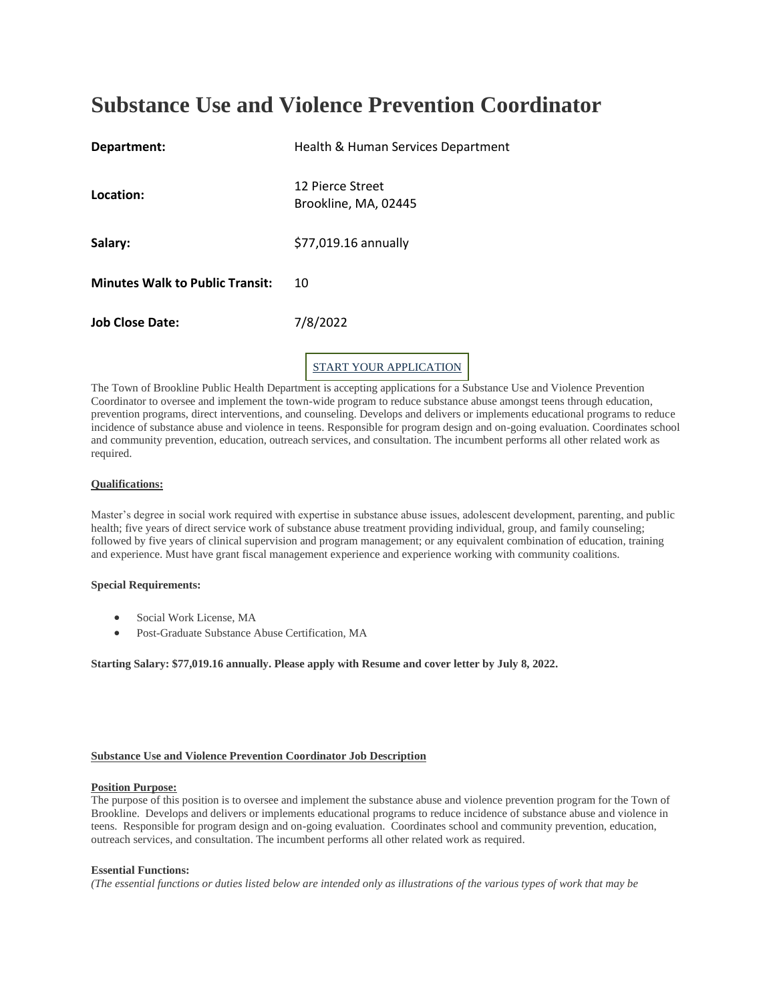# **Substance Use and Violence Prevention Coordinator**

| Department:                            | Health & Human Services Department       |
|----------------------------------------|------------------------------------------|
| Location:                              | 12 Pierce Street<br>Brookline, MA, 02445 |
| Salary:                                | \$77,019.16 annually                     |
| <b>Minutes Walk to Public Transit:</b> | 10                                       |
| <b>Job Close Date:</b>                 | 7/8/2022                                 |
|                                        |                                          |

START YOUR [APPLICATION](https://apply.hrmdirect.com/resumedirect/ApplyOnline/Apply.aspx?req_id=2100773&source=2100773-CJB-0)

The Town of Brookline Public Health Department is accepting applications for a Substance Use and Violence Prevention Coordinator to oversee and implement the town-wide program to reduce substance abuse amongst teens through education, prevention programs, direct interventions, and counseling. Develops and delivers or implements educational programs to reduce incidence of substance abuse and violence in teens. Responsible for program design and on-going evaluation. Coordinates school and community prevention, education, outreach services, and consultation. The incumbent performs all other related work as required.

## **Qualifications:**

Master's degree in social work required with expertise in substance abuse issues, adolescent development, parenting, and public health; five years of direct service work of substance abuse treatment providing individual, group, and family counseling; followed by five years of clinical supervision and program management; or any equivalent combination of education, training and experience. Must have grant fiscal management experience and experience working with community coalitions.

## **Special Requirements:**

- Social Work License, MA
- Post-Graduate Substance Abuse Certification, MA

**Starting Salary: \$77,019.16 annually. Please apply with Resume and cover letter by July 8, 2022.**

# **Substance Use and Violence Prevention Coordinator Job Description**

## **Position Purpose:**

The purpose of this position is to oversee and implement the substance abuse and violence prevention program for the Town of Brookline. Develops and delivers or implements educational programs to reduce incidence of substance abuse and violence in teens. Responsible for program design and on-going evaluation. Coordinates school and community prevention, education, outreach services, and consultation. The incumbent performs all other related work as required.

## **Essential Functions:**

*(The essential functions or duties listed below are intended only as illustrations of the various types of work that may be*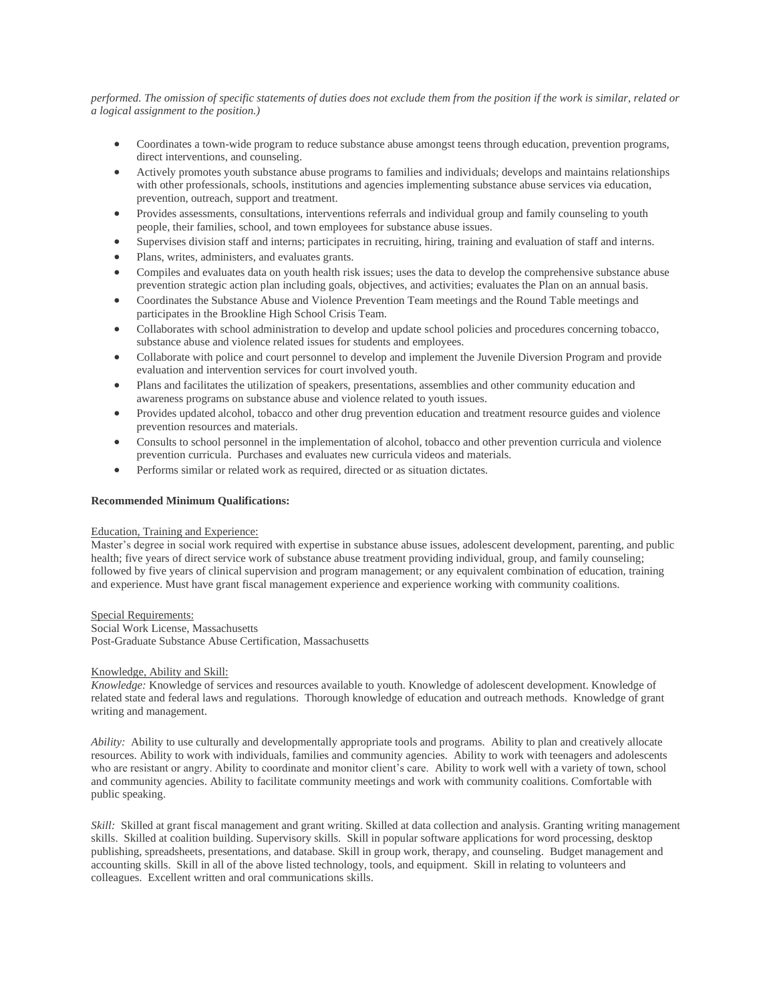*performed. The omission of specific statements of duties does not exclude them from the position if the work is similar, related or a logical assignment to the position.)*

- Coordinates a town-wide program to reduce substance abuse amongst teens through education, prevention programs, direct interventions, and counseling.
- Actively promotes youth substance abuse programs to families and individuals; develops and maintains relationships with other professionals, schools, institutions and agencies implementing substance abuse services via education, prevention, outreach, support and treatment.
- Provides assessments, consultations, interventions referrals and individual group and family counseling to youth people, their families, school, and town employees for substance abuse issues.
- Supervises division staff and interns; participates in recruiting, hiring, training and evaluation of staff and interns.
- Plans, writes, administers, and evaluates grants.
- Compiles and evaluates data on youth health risk issues; uses the data to develop the comprehensive substance abuse prevention strategic action plan including goals, objectives, and activities; evaluates the Plan on an annual basis.
- Coordinates the Substance Abuse and Violence Prevention Team meetings and the Round Table meetings and participates in the Brookline High School Crisis Team.
- Collaborates with school administration to develop and update school policies and procedures concerning tobacco, substance abuse and violence related issues for students and employees.
- Collaborate with police and court personnel to develop and implement the Juvenile Diversion Program and provide evaluation and intervention services for court involved youth.
- Plans and facilitates the utilization of speakers, presentations, assemblies and other community education and awareness programs on substance abuse and violence related to youth issues.
- Provides updated alcohol, tobacco and other drug prevention education and treatment resource guides and violence prevention resources and materials.
- Consults to school personnel in the implementation of alcohol, tobacco and other prevention curricula and violence prevention curricula. Purchases and evaluates new curricula videos and materials.
- Performs similar or related work as required, directed or as situation dictates.

#### **Recommended Minimum Qualifications:**

#### Education, Training and Experience:

Master's degree in social work required with expertise in substance abuse issues, adolescent development, parenting, and public health; five years of direct service work of substance abuse treatment providing individual, group, and family counseling; followed by five years of clinical supervision and program management; or any equivalent combination of education, training and experience. Must have grant fiscal management experience and experience working with community coalitions.

Special Requirements: Social Work License, Massachusetts Post-Graduate Substance Abuse Certification, Massachusetts

#### Knowledge, Ability and Skill:

*Knowledge:* Knowledge of services and resources available to youth. Knowledge of adolescent development. Knowledge of related state and federal laws and regulations. Thorough knowledge of education and outreach methods. Knowledge of grant writing and management.

*Ability:* Ability to use culturally and developmentally appropriate tools and programs. Ability to plan and creatively allocate resources. Ability to work with individuals, families and community agencies. Ability to work with teenagers and adolescents who are resistant or angry. Ability to coordinate and monitor client's care. Ability to work well with a variety of town, school and community agencies. Ability to facilitate community meetings and work with community coalitions. Comfortable with public speaking.

*Skill:* Skilled at grant fiscal management and grant writing. Skilled at data collection and analysis. Granting writing management skills. Skilled at coalition building. Supervisory skills. Skill in popular software applications for word processing, desktop publishing, spreadsheets, presentations, and database. Skill in group work, therapy, and counseling. Budget management and accounting skills. Skill in all of the above listed technology, tools, and equipment. Skill in relating to volunteers and colleagues. Excellent written and oral communications skills.